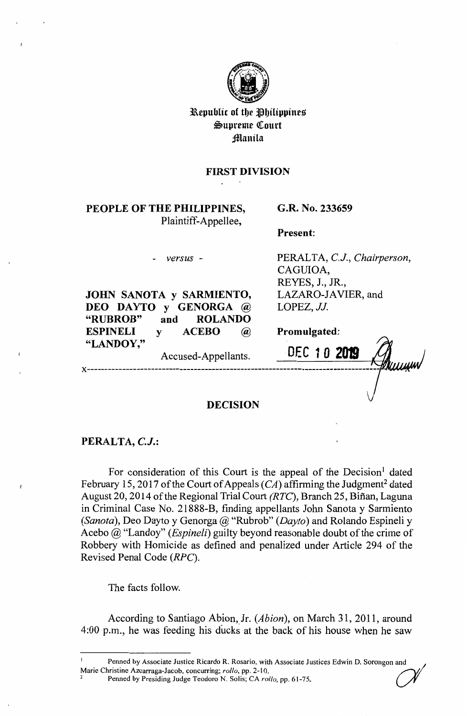

Republic of the Philippines  $% \mathcal{M}$ ~upreme ([ourt **Manila** 

## **FIRST DIVISION**

# **PEOPLE OF THE PHILIPPINES,**  Plaintiff-Appellee,

### **G.R. No. 233659**

**Present:** 

*versus* -

**JOHN SANOTA y SARMIENTO, DEO DAYTO y GENORGA@ "RUBROB" and ROLANDO ESPINEL! y ACEBO** @

PERALTA, *C.J., Chairperson,*  CAGUIOA, REYES, J., JR., LAZARO-JAVIER, and LOPEZ, *JJ.* 

**Promulgated:** 

**x-----------------------------------------------** "LANDOY," <br>Accused-Appellants. **DEC** 10 2019

### **DECISION**

## **PERALTA,** *C.J.:*

For consideration of this Court is the appeal of the Decision<sup>1</sup> dated February 15, 2017 of the Court of Appeals  $(C_A)$  affirming the Judgment<sup>2</sup> dated August 20, 2014 of the Regional Trial Court *(RTC)*, Branch 25, Biñan, Laguna in Criminal Case No. 21888-B, finding appellants John Sanota y Sarmiento *(Sanota),* Deo Dayto y Genorga@ "Rubrob" *(Dayto)* and Rolando Espineli y Acebo @ "Landoy" *(Espineli)* guilty beyond reasonable doubt of the crime of Robbery with Homicide as defined and penalized under Article 294 of the Revised Penal Code *(RPC).* 

The facts follow.

According to Santiago Abion,\_Jr. *(Abion),* on March 31, 2011, around 4:00 p.m., he was feeding his ducks at the back of his house when he saw

Penned by Associate Justice Ricardo R. Rosario, with Associate Justices Edwin D. Sorongon and Marie Christine Azcarraga-Jacob, concurring; *rollo,* pp. 2-10. ~1

<sup>2</sup>Penned by Presiding Judge Teodoro N. Solis; CA *ro/lo,* pp. 61-75\_ *V'*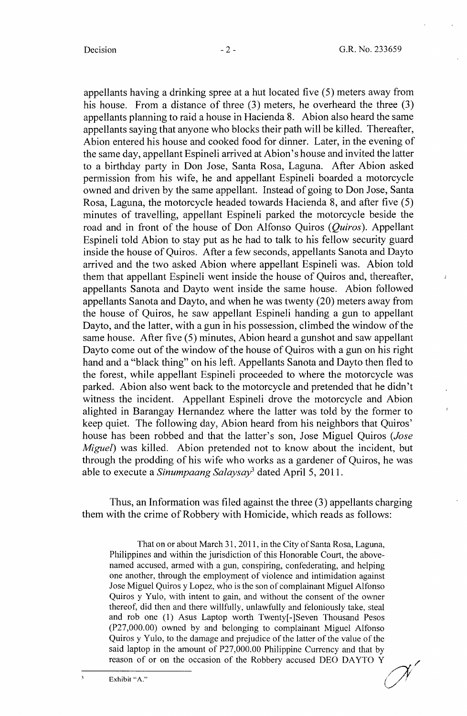$\mathbf{r}$ 

appellants having a drinking spree at a hut located five (5) meters away from his house. From a distance of three (3) meters, he overheard the three (3) appellants planning to raid a house in Hacienda 8. Abion also heard the same appellants saying that anyone who blocks their path will be killed. Thereafter, Abion entered his house and cooked food for dinner. Later, in the evening of the same day, appellant Espineli arrived at Abion's house and invited the latter to a birthday party in Don Jose, Santa Rosa, Laguna. After Abion asked pennission from his wife, he and appellant Espineli boarded a motorcycle owned and driven by the same appellant. Instead of going to Don Jose, Santa Rosa, Laguna, the motorcycle headed towards Hacienda 8, and after five (5) minutes of travelling, appellant Espineli parked the motorcycle beside the road and in front of the house of Don Alfonso Quiros *(Quiros).* Appellant Espineli told Abion to stay put as he had to talk to his fellow security guard inside the house of Quiros. After a few seconds, appellants Sanota and Dayto arrived and the two asked Abion where appellant Espineli was. Abion told them that appellant Espineli went inside the house of Quiros and, thereafter, appellants Sanota and Dayto went inside the same house. Abion followed appellants Sanota and Dayto, and when he was twenty (20) meters away from the house of Quiros, he saw appellant Espineli handing a gun to appellant Dayto, and the latter, with a gun in his possession, climbed the window of the same house. After five (5) minutes, Abion heard a gunshot and saw appellant Dayto come out of the window of the house of Quiros with a gun on his right hand and a "black thing" on his left. Appellants Sanota and Dayto then fled to the forest, while appellant Espineli proceeded to where the motorcycle was parked. Abion also went back to the motorcycle and pretended that he didn't witness the incident. Appellant Espineli drove the motorcycle and Abion alighted in Barangay Hernandez where the latter was told by the former to keep quiet. The following day, Abion heard from his neighbors that Quiros' house has been robbed and that the latter's son, Jose Miguel Quiros *(Jose Miguel)* was killed. Abion pretended not to know about the incident, but through the prodding of his wife who works as a gardener of Quiros, he was able to execute a *Sinumpaang Salaysay*<sup>3</sup> dated April 5, 2011.

Thus, an Information was filed against the three (3) appellants charging them with the crime of Robbery with Homicide, which reads as follows:

That on or about March 31, 2011, in the City of Santa Rosa, Laguna, Philippines and within the jurisdiction of this Honorable Court, the abovenamed accused, armed with a gun, conspiring, confederating, and helping one another, through the employment of violence and intimidation against Jose Miguel Quiros y Lopez, who is the son of complainant Miguel Alfonso Quiros y Yulo, with intent to gain, and without the consent of the owner thereof, did then and there willfully, unlawfully and feloniously take, steal and rob one (1) Asus Laptop worth Twenty[-]Seven Thousand Pesos (P27,000.00) owned by and belonging to complainant Miguel Alfonso Quiros y Yulo, to the damage and prejudice of the latter of the value of the said laptop in the amount of P27,000.00 Philippine Currency and that by examples y 1 and, to the damage and prejudice of the ratter or the value of the said laptop in the amount of P27,000.00 Philippine Currency and that by reason of or on the occasion of the Robbery accused DEO DAYTO Y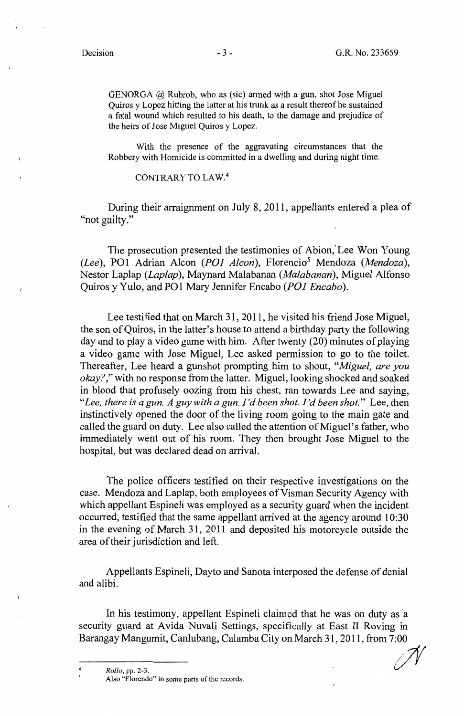GENORGA  $@$  Rubrob, who as (sic) armed with a gun, shot Jose Miguel Quiros y Lopez hitting the latter at his trunk as a result thereof he sustained a fatal wound which resulted to his death, to the damage and prejudice of the heirs of Jose Miguel Quiros y Lopez.

With the presence of the aggravating circumstances that the Robbery with Homicide is committed in a dwelling and during night time.

## CONTRARY TO LAW.<sup>4</sup>

During their arraignment on July 8, 2011, appellants entered a plea of "not guilty."

The prosecution presented the testimonies of Abion,' Lee Won Young *(Lee),* POI Adrian Alcon *(POI Alcon),* Florencio5 Mendoza *(Mendoza),*  Nestor Laplap *(Laplap)*, Maynard Malabanan *(Malabanan)*, Miguel Alfonso Quiros y Yulo, and POI Mary Jennifer Encabo *(POI Encabo).* 

Lee testified that on March 31, 2011, he visited his friend Jose Miguel, the son of Quiros, in the latter's house to attend a birthday party the following day and to play a video game with him. After twenty (20) minutes of playing a video game with Jose Miguel, Lee asked permission to go to the toilet. Thereafter, Lee heard a gunshot prompting him to shout, *"Miguel, are you okay?,"* with no response from the latter. Miguel, looking shocked and soaked in blood that profusely oozing from his chest, ran towards Lee and saying, *"Lee, there is a gun. A guy with a gun. I'd been shot. I'd been shot."* Lee, then instinctively opened the door of the living room going to the main gate and called the guard on duty. Lee also called the attention of Miguel's father, who immediately went out of his room. They then brought Jose Miguel to the hospital, but was declared dead on arrival.

The police officers testified on their respective investigations on the case. Mendoza and Laplap, both employees of Visman Security Agency with which appellant Espineli was employed as a security guard when the incident occurred, testified that the same appellant arrived at the agency around 10:30 in the evening of March 31, 2011 and deposited his motorcycle outside the area of their jurisdiction and left.

Appellants Espineli, Dayto and Sanota interposed the defense of denial and alibi.

In his testimony, appellant Espineli claimed that he was on duty as a security guard at Avida Nuvali Settings, specifically at East II Roving in Barangay Mangumit, Canlubang, Calamba City on March 31, 2011, from 7:00

 $Rollo, pp. 2-3.$ 4

Also "Florendo" in some parts of the records.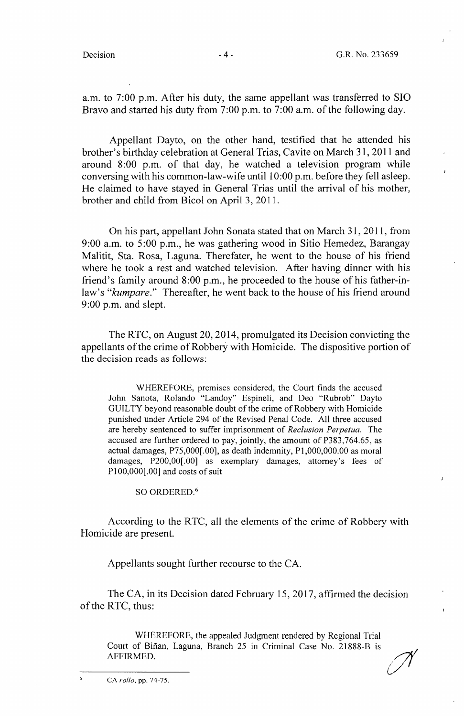a.m. to 7 :00 p.m. After his duty, the same appellant was transferred to SIO Bravo and started his duty from 7:00 p.m. to 7:00 a.m. of the following day.

Appellant Dayto, on the other hand, testified that he attended his brother's birthday celebration at General Trias, Cavite on March 31, 2011 and around 8:00 p.m. of that day, he watched a television program while conversing with his common-law-wife until 10:00 p.m. before they fell asleep. He claimed to have stayed in General Trias until the arrival of his mother, brother and child from Bicol on April 3, 2011.

On his part, appellant John Sonata stated that on March 31, 2011, from 9:00 a.m. to 5:00 p.m., he was gathering wood in Sitio Hemedez, Barangay Malitit, Sta. Rosa, Laguna. Therefater, he went to the house of his friend where he took a rest and watched television. After having dinner with his friend's family around 8:00 p.m., he proceeded to the house of his father-inlaw's *"kumpare."* Thereafter, he went back to the house of his friend around 9:00 p.m. and slept.

The RTC, on August 20, 2014, promulgated its Decision convicting the appellants of the crime of Robbery with Homicide. The dispositive portion of the decision reads as follows:

WHEREFORE, premises considered, the Court finds the accused John Sanota, Rolando "Landoy" Espineli, and Deo "Rubrob" Dayto GUILTY beyond reasonable doubt of the crime of Robbery with Homicide punished under Article 294 of the Revised Penal Code. All three accused are hereby sentenced to suffer imprisonment of *Reclusion Perpetua.* The accused are further ordered to pay, jointly, the amount of P383,764.65, as actual damages, P75,000[.00], as death indemnity, Pl,000,000.00 as moral damages, P200,00[.00] as exemplary damages, attorney's fees of P100,000[.00] and costs of suit

SO ORDERED. <sup>6</sup>

According to the RTC, all the elements of the crime of Robbery with Homicide are present.

Appellants sought further recourse to the CA.

The CA, in its Decision dated February 15, 2017, affirmed the decision of the RTC, thus:

WHEREFORE, the appealed Judgment rendered by Regional Trial Court of Bifian, Laguna, Branch 25 in Criminal Case No. 21888-B is AFFIRMED.

*u1*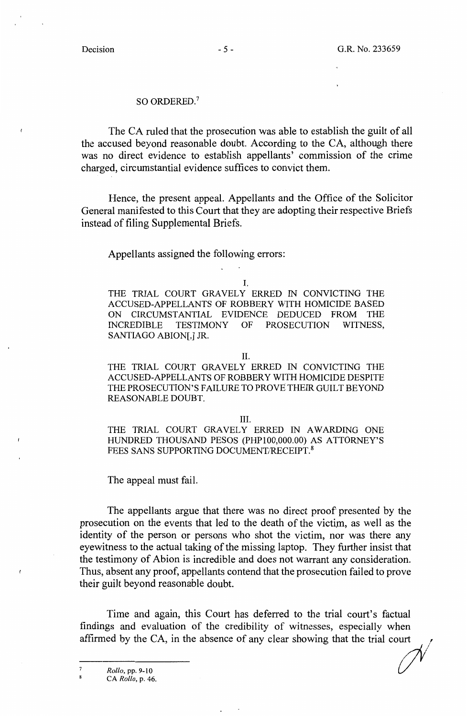#### SO ORDERED.<sup>7</sup>

The CA ruled that the prosecution was able to establish the guilt of all the accused beyond reasonable doubt. According to the CA, although there was no direct evidence to establish appellants' commission of the crime charged, circumstantial evidence suffices to convict them.

Hence, the present appeal. Appellants and the Office of the Solicitor General manifested to this Court that they are adopting their respective Briefs instead of filing Supplemental Briefs.

Appellants assigned the following errors:

I.

THE TRIAL COURT GRAVELY ERRED IN CONVICTING THE ACCUSED-APPELLANTS OF ROBBERY WITH HOMICIDE BASED ON CIRCUMSTANTIAL EVIDENCE DEDUCED FROM THE INCREDIBLE TESTIMONY OF PROSECUTION WITNESS, SANTIAGO ABION[,] JR.

II.

THE TRIAL COURT GRAVELY ERRED IN CONVICTING THE ACCUSED-APPELLANTS OF ROBBERY WITH HOMICIDE DESPITE THE PROSECUTION'S FAIL URE TO PROVE THEIR GUILT BEYOND REASONABLE DOUBT.

III.

THE TRIAL COURT GRAVELY ERRED IN AWARDING ONE HUNDRED THOUSAND PESOS (PHPl00,000.00) AS ATTORNEY'S FEES SANS SUPPORTING DOCUMENT/RECEIPT.<sup>8</sup>

The appeal must fail.

The appellants argue that there was no direct proof presented by the prosecution on the events that led to the death of the victim, as well as the identity of the person or persons who shot the victim, nor was there any eyewitness to the actual taking of the missing laptop. They further insist that the testimony of Abion is incredible and does not warrant any consideration. Thus, absent any proof, appellants contend that the prosecution failed to prove their guilt beyond reasonable doubt.

Time and again, this Court has deferred to the trial court's factual findings and evaluation of the credibility of witnesses, especially when affirmed by the CA, in the absence of any clear showing that the trial court

<sup>8</sup>CA *Rollo,* p. 46.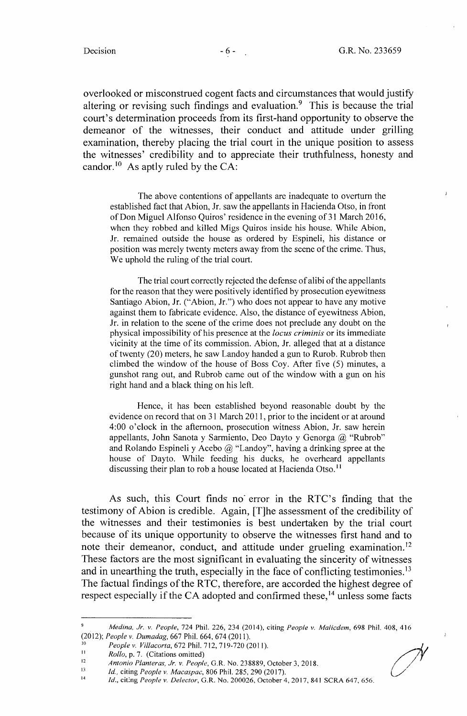overlooked or misconstrued cogent facts and circumstances that would justify altering or revising such findings and evaluation.<sup>9</sup> This is because the trial court's determination proceeds from its first-hand opportunity to observe the demeanor of the witnesses, their conduct and attitude under grilling examination, thereby placing the trial court in the unique position to assess the witnesses' credibility and to appreciate their truthfulness, honesty and candor.<sup>10</sup> As aptly ruled by the CA:

The above contentions of appellants are inadequate to overturn the established fact that Abion, Jr. saw the appellants in Hacienda Otso, in front of Don Miguel Alfonso Quiros' residence in the evening of 31 March 2016, when they robbed and killed Migs Quiros inside his house. While Abion, Jr. remained outside the house as ordered by Espineli, his distance or position was merely twenty meters away from the scene of the crime. Thus, We uphold the ruling of the trial court.

The trial court correctly rejected the defense of alibi of the appellants for the reason that they were positively identified by prosecution eyewitness Santiago Abion, Jr. ("Abion, Jr.") who does not appear to have any motive against them to fabricate evidence. Also, the distance of eyewitness Abion, Jr. in relation to the scene of the crime does not preclude any doubt on the physical impossibility of his presence at the *locus criminis* or its immediate vicinity at the time of its commission. Abion, Jr. alleged that at a distance of twenty (20) meters, he saw Landoy handed a gun to Rurob. Rubrob then climbed the window of the house of Boss Coy. After five (5) minutes, a gunshot rang out, and Rubrob came out of the window with a gun on his right hand and a black thing on his left.

Hence, it has been established beyond reasonable doubt by the evidence on record that on 31 March 2011, prior to the incident or at around 4:00 o'clock in the afternoon, prosecution witness Abion, Jr. saw herein appellants, John Sanota y Sarmiento, Deo Dayto y Genorga @ "Rubrob" and Rolando Espineli y Acebo  $@$  "Landoy", having a drinking spree at the house of Dayto. While feeding his ducks, he overheard appellants discussing their plan to rob a house located at Hacienda Otso. <sup>11</sup>

As such, this Court finds no error in the RTC's finding that the testimony of Abion is credible. Again, [T]he assessment of the credibility of the witnesses and their testimonies is best undertaken by the trial court because of its unique opportunity to observe the witnesses first hand and to note their demeanor, conduct, and attitude under grueling examination.<sup>12</sup> These factors are the most significant in evaluating the sincerity of witnesses and in unearthing the truth, especially in the face of conflicting testimonies.<sup>13</sup> The factual findings of the RTC, therefore, are accorded the highest degree of respect especially if the CA adopted and confirmed these,  $14$  unless some facts

 $\bigg)$  $\overline{\phantom{a}}$ 

<sup>9</sup>*Medina, Jr. v. People,* 724 Phil. 226, 234 (2014), citing *People v. Malicdem,* 698 Phil. 408, 416 (2012); *People* v. *Dumadag,* 667 Phil. 664, 674 (2011).

<sup>10&</sup>lt;br> *People v. Villacorta,* 672 Phil. 712, 719-720 (2011).<br> *Pollo n. 7.* (Citations omitted)

<sup>&</sup>lt;sup>11</sup> Rollo, p. 7. (Citations omitted)

<sup>12</sup>*Antonio Planteras, Jr.* v. *People,* G.R. No. 238889, October 3, 2018. 13 *Id.,* citing *People v. Macaspac,* 806 Phil. 285, 290 (2017).

<sup>14</sup>*Id.,* cit:ng *People* v. *Defector,* G.R. No. 200026, October 4, 2017, 841 SCRA 647, 656.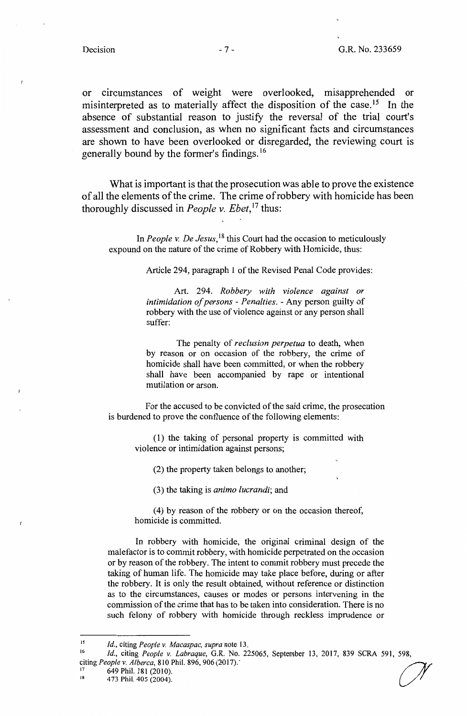or circumstances of weight were overlooked, misapprehended or misinterpreted as to materially affect the disposition of the case.<sup>15</sup> In the absence of substantial reason to justify the reversal of the trial court's assessment and conclusion, as when no significant facts and circumstances are shown to have been overlooked or disregarded, the reviewing court is generally bound by the former's findings. <sup>16</sup>

What is important is that the prosecution was able to prove the existence of all the elements of the crime. The crime of robbery with homicide has been thoroughly discussed in *People v. Ebet*,<sup>17</sup> thus:

In *People v. De Jesus,* 18 this Court had the occasion to meticulously expound on the nature of the crime of Robbery with Homicide, thus:

Article 294, paragraph 1 of the Revised Penal Code provides:

Art. 294. *Robbery with violence against or intimidation of persons* - *Penalties.* - Any person guilty of robbery with the use of violence against or any person shall suffer:

The penalty of *reclusion perpetua* to death, when by reason or on occasion of the robbery, the crime of homicide shall have been committed, or when the robbery shall have been accompanied by rape or intentional mutilation or arson.

For the accused to be convicted of the said crime, the prosecution is burdened to prove the confluence of the following elements:

(1) the taking of personal property is committed with violence or intimidation against persons;

(2) the property taken belongs to another;

(3) the taking is *animo lucrandi;* and

( 4) by reason of the robbery or on the occasion thereof, homicide is committed.

In robbery with homicide, the original criminal design of the malefactor is to commit robbery, with homicide perpetrated on the occasion or by reason of the robbery. The intent to commit robbery must precede the taking of human life. The homicide may take place before, during or after the robbery. It is only the result obtained, without reference or distinction as to the circumstances, causes or modes or persons intervening in the commission of the crime that has to be taken into consideration. There is no such felony of robbery with homicide through reckless imprudence or

649 Phil. 181 (2010).

<sup>15</sup>*Id.,* citing *People v. Macaspac, supra* note 13.

<sup>16&</sup>lt;br> *Id.*, citing *People v. Labraque*, G.R. No. 225065, September 13, 2017, 839 SCRA 591, 598,<br>
citing *People v. Alberca*, 810 Phil. 896, 906 (2017).

 $18$  473 Phil. 405 (2004).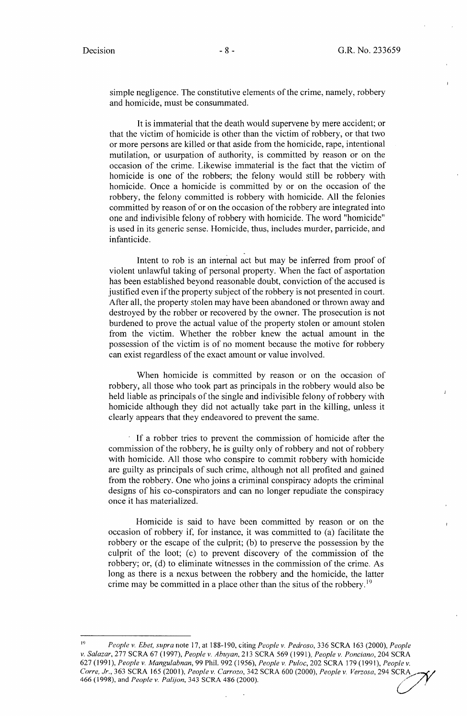simple negligence. The constitutive elements of the crime, namely, robbery and homicide, must be consummated.

It is immaterial that the death would supervene by mere accident; or that the victim of homicide is other than the victim of robbery, or that two or more persons are killed or that aside from the homicide, rape, intentional mutilation, or usurpation of authority, is committed by reason or on the occasion of the crime. Likewise immaterial is the fact that the victim of homicide is one of the robbers; the felony would still be robbery with homicide. Once a homicide is committed by or on the occasion of the robbery, the felony committed is robbery with homicide. All the felonies committed by reason of or on the occasion of the robbery are integrated into one and indivisible felony of robbery with homicide. The word "homicide" is used in its generic sense. Homicide, thus, includes murder, parricide, and infanticide.

Intent to rob is an internal act but may be inferred from proof of violent unlawful taking of personal property. When the fact of asportation has been established beyond reasonable doubt, conviction of the accused is justified even if the property subject of the robbery is not presented in court. After all, the property stolen may have been abandoned or thrown away and destroyed by the robber or recovered by the owner. The prosecution is not burdened to prove the actual value of the property stolen or amount stolen from the victim. Whether the robber knew the actual amount in the possession of the victim is of no moment because the motive for robbery can exist regardless of the exact amount or value involved.

When homicide is committed by reason or on the occasion of robbery, all those who took part as principals in the robbery would also be held liable as principals of the single and indivisible felony of robbery with homicide although they did not actually take part in the killing, unless it clearly appears that they endeavored to prevent the same.

If a robber tries to prevent the commission of homicide after the commission of the robbery, he is guilty only of robbery and not of robbery with homicide. All those who conspire to commit robbery with homicide are guilty as principals of such crime, although not all profited and gained from the robbery. One who joins a criminal conspiracy adopts the criminal designs of his co-conspirators and can no longer repudiate the conspiracy once it has materialized.

Homicide is said to have been committed by reason or on the occasion of robbery if, for instance, it was committed to (a) facilitate the robbery or the escape of the culprit; (b) to preserve the possession by the culprit of the loot; (c) to prevent discovery of the commission of the robbery; or, (d) to eliminate witnesses in the commission of the crime. As long as there is a nexus between the robbery and the homicide, the latter crime may be committed in a place other than the situs of the robbery.<sup>19</sup>

<sup>19</sup>*People v. Ebet, supra* note 17, at 188-190, citing *People v. Pedroso,* 336 SCRA 163 (2000), *People v. Salazar,* 277 SCRA 67 (1997), *People v. Abuyan,* 213 SCRA 569 (1991), *People v. Ponciano,* 204 SCRA 627 (1991 ), *People v. Mangulabnan,* 99 Phil. 992 (1956), *People v. Puloc,* 202 SCRA 179 ( 1991 ), *People v. Corre, Jr.,* 363 SCRA 165 (2001), *People v. Carrozo,* 342 SCRA 600 (2000), *People v. Verzosa,* 294 SCRA/--,(/ 627 (1991), *People v. Mangulabnan*, 99 Phil. 992 (1956), *People v. Puloc*, 202 SCRA 179 (1991), *People v.*<br>Corre, Jr., 363 SCRA 165 (2001), *People v. Carrozo*, 342 SCRA 600 (2000), *People v. Verzosa*, 294 SCRA<br>466 (19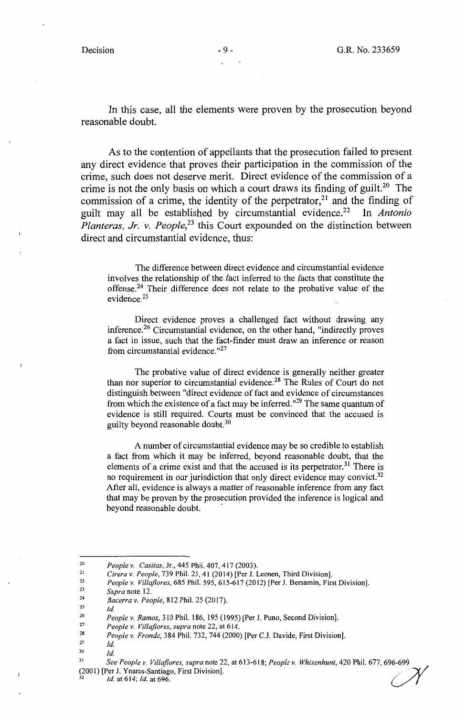In this case, all the elements were proven by the prosecution beyond reasonable doubt.

As to the contention of appellants that the prosecution failed to present any direct evidence that proves their participation in the commission of the crime, such does not deserve merit. Direct evidence of the commission of a crime is not the only basis on which a court draws its finding of guilt.<sup>20</sup> The commission of a crime, the identity of the perpetrator,<sup>21</sup> and the finding of guilt may all be established by circumstantial evidence.<sup>22</sup> In *Antonio Planteras, Jr. v. People*<sup>23</sup> this Court expounded on the distinction between direct and circumstantial evidence, thus:

The difference between direct evidence and circumstantial evidence involves the relationship of the fact inferred to the facts that constitute the offense.<sup>24</sup> Their difference does not relate to the probative value of the evidence. 25

Direct evidence proves a challenged fact without drawing any inference.<sup>26</sup> Circumstantial evidence, on the other hand, "indirectly proves a fact in issue, such that the fact-finder must draw an inference or reason from circumstantial evidence."<sup>27</sup>

The probative value of direct evidence is generally neither greater than nor superior to circumstantial evidence.<sup>28</sup> The Rules of Court do not distinguish between "direct evidence of fact and evidence of circumstances from which the existence of a fact may be inferred.<sup>"29</sup> The same quantum of evidence is still required. Courts must be convinced that the accused is guilty beyond reasonable doubt. $30$ 

A number of circumstantial evidence may be so credible to establish a fact from which it may be inferred, beyond reasonable doubt, that the elements of a crime exist and that the accused is its perpetrator.<sup>31</sup> There is no requirement in our jurisdiction that only direct evidence may convict.<sup>32</sup> After all, evidence is always a matter of reasonable inference from any fact that may be proven by the prosecution provided the inference is logical and beyond reasonable doubt.

2s *Id.* 

<sup>&</sup>lt;sup>20</sup> People v. Casitas, Jr., 445 Phil. 407, 417 (2003).<br>
<sup>21</sup> Cirera v. People, 739 Phil. 25, 41 (2014) [Per J. Leonen, Third Division].<br>
<sup>22</sup> People v. *Villaflores*, 685 Phil. 595, 615-617 (2012) [Per J. Bersamin, First

<sup>23</sup>*Supra* note 12. 24 *Bacerra v. People,* 812 Phil. 25 (2017).

<sup>26</sup>*People v. Ramos,* 310 Phil. 186, 195 (1995) [Per J. Puno, Second Division]. 27 *People v. Villajlores, supra* note 22, at 614.

<sup>28</sup>*People v. Fronda,* 384 Phil. 732, 744 (2000) [Per C.J. Davide, First Division].

<sup>29</sup>*Id.* 

Jo *Id.* 

<sup>31</sup>*See People v. Villaflores, supra* note 22, at 613-618; *People v. Whisenhunt,* 420 Phil. 677, 696-699 (2001) [Per J. Ynares-Santiago, First Division]. */* · A'./ (2001) [Per J. Ynares-Santiago, First Division].<br><sup>32</sup>*Id.* at 614; *Id.* at 696.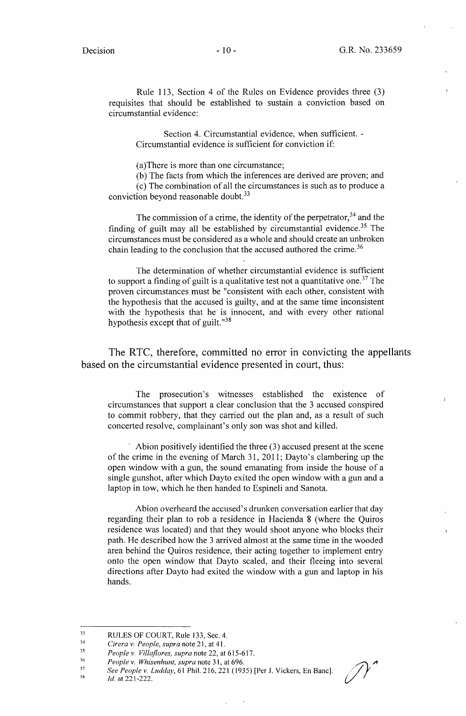Rule 113, Section 4 of the Rules on Evidence provides three (3) requisites that should be established to sustain a conviction based on circumstantial evidence:

Section 4. Circumstantial evidence, when sufficient. - Circumstantial evidence is sufficient for conviction if:

(a)There is more than one circumstance;

(b) The facts from which the inferences are derived are proven; and ( c) The combination of all the circumstances is such as to produce a conviction beyond reasonable doubt.<sup>33</sup>

The commission of a crime, the identity of the perpetrator,  $34$  and the finding of guilt may all be established by circumstantial evidence.<sup>35</sup> The circumstances must be considered as a whole and should create an unbroken chain leading to the conclusion that the accused authored the crime.<sup>36</sup>

The determination of whether circumstantial evidence is sufficient to support a finding of guilt is a qualitative test not a quantitative one.<sup>37</sup> The proven circumstances must be "consistent with each other, consistent with the hypothesis that the accused is guilty, and at the same time inconsistent with the hypothesis that he is innocent, and with every other rational hypothesis except that of guilt."<sup>38</sup>

The RTC, therefore, committed no error in convicting the appellants based on the circumstantial evidence presented in court, thus:

The prosecution's witnesses established the existence of circumstances that support a clear conclusion that the 3 accused conspired to commit robbery, that they carried out the plan and, as a result of such concerted resolve, complainant's only son was shot and killed.

Abion positively identified the three  $(3)$  accused present at the scene of the crime in the evening of March 31, 2011; Dayto's clambering up the open window with a gun, the sound emanating from inside the house of a single gunshot, after which Dayto exited the open window with a gun and a laptop in tow, which he then handed to Espineli and Sanota.

Abion overheard the accused's drunken conversation earlier that day regarding their plan to rob a residence in Hacienda 8 (where the Quiros residence was located) and that they would shoot anyone who blocks their path. He described how the 3 arrived almost at the same time in the wooded area behind the Quiros residence, their acting together to implement entry onto the open window that Dayto scaled, and their fleeing into several directions after Dayto had exited the window with a gun and laptop in his hands.

36 *People v. Whisenhunt, supra note 31, at 696.* 

38 /d.at221-222. *{/* ·

<sup>33</sup>  RULES OF COURT, Rule 133, Sec. 4.

<sup>34</sup>  *Cirera v. People, supra* note 21, at 41.

<sup>35</sup>  *People v. Villaflores, supra* note 22, at 615-617.

<sup>37</sup>  *See People v. Ludday, 61 Phil. 216, 221 (1935)* [Per J. Vickers, En Banc].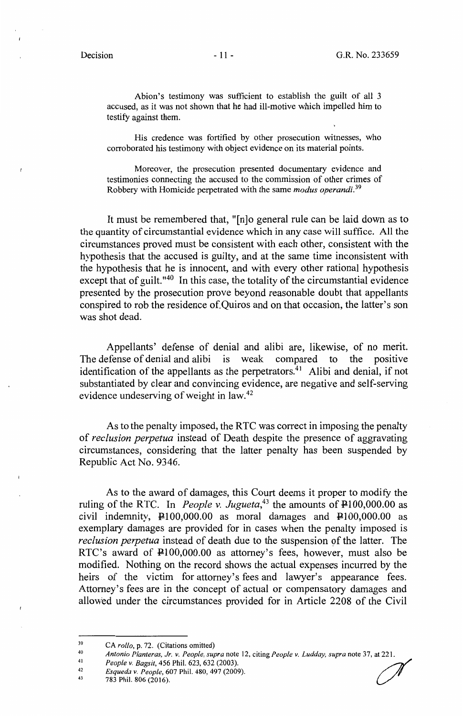Abion's testimony was sufficient to establish the guilt of all 3 accused, as it was not shown that he had ill-motive which impelled him to testify against them.

His credence was fortified by other prosecution witnesses, who corroborated his testimony with object evidence on its material points.

Moreover, the prosecution presented documentary evidence and testimonies connecting the accused to the commission of other crimes of Robbery with Homicide perpetrated with the same *modus operandi. <sup>39</sup>*

It must be remembered that, "[n]o general rule can be laid down as to the quantity of circumstantial evidence which in any case will suffice. All the circumstances proved must be consistent with each other, consistent with the hypothesis that the accused is guilty, and at the same time inconsistent with the hypothesis that he is innocent, and with every other rational hypothesis except that of guilt." $40$  In this case, the totality of the circumstantial evidence presented by the prosecution prove beyond reasonable doubt that appellants conspired to rob the residence of Quiros and on that occasion, the latter's son was shot dead.

Appellants' defense of denial and alibi are, likewise, of no merit. The defense of denial and alibi is weak compared to the positive identification of the appellants as the perpetrators.<sup>41</sup> Alibi and denial, if not substantiated by clear and convincing evidence, are negative and self-serving evidence undeserving of weight in law.<sup>42</sup>

As to the penalty imposed, the RTC was correct in imposing the penalty of *reclusion perpetua* instead of Death despite the presence of aggravating circumstances, considering that the latter penalty has been suspended by Republic Act No. 9346.

As to the award of damages, this Court deems it proper to modify the ruling of the RTC. In *People v. Jugueta*,<sup>43</sup> the amounts of  $\overrightarrow{P}$ 100,000.00 as civil indemnity,  $\text{\textsterling}100,000.00$  as moral damages and  $\text{\textsterling}100,000.00$  as exemplary damages are provided for in cases when the penalty imposed is *reclusion perpetua* instead of death due to the suspension of the latter. The RTC's award of  $\text{\textsterling}100,000.00$  as attorney's fees, however, must also be modified. Nothing on the record shows the actual expenses incurred by the heirs of the victim for attorney's fees and lawyer's appearance fees. Attorney's fees are in the concept of actual or compensatory damages and allowed under the circumstances provided for in Article 2208 of the Civil

- 
- 42
- 43 783 Phil. 806 (2016).

<sup>39</sup>  CA *rollo,* p. 72. (Citations omitted)

<sup>40</sup>  41 *Antonio Planteras, Jr. v. People, supra* note 12, citing *People v. Ludday, supra* note 37, at 221.<br>*People v. Bagsit,* 456 Phil. 623, 632 (2003).<br>*Esqueda v. People,* 607 Phil. 480, 497 (2009).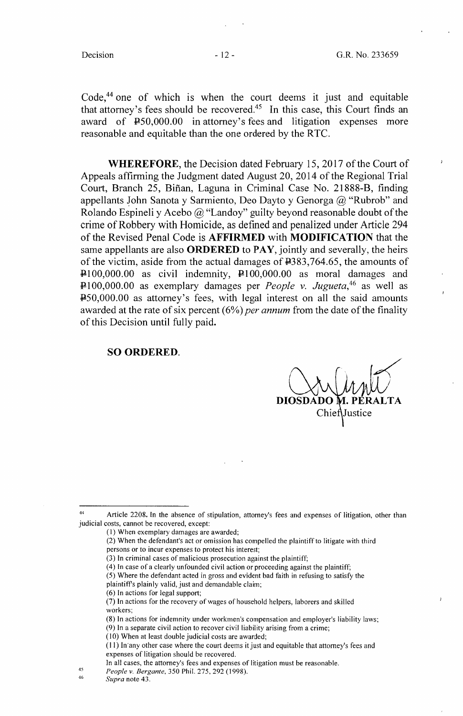Code,<sup>44</sup> one of which is when the court deems it just and equitable that attorney's fees should be recovered.<sup>45</sup> In this case, this Court finds an award of P50,000.00 in attorney's fees and litigation expenses more reasonable and equitable than the one ordered by the RTC.

**WHEREFORE,** the Decision dated February 15, 2017 of the Court of Appeals affirming the Judgment dated August 20, 2014 of the Regional Trial Court, Branch 25, Bifian, Laguna in Criminal Case No. 21888-B, finding appellants John Sanota y Sarmiento, Deo Dayto y Genorga  $(a)$  "Rubrob" and Rolando Espineli y Acebo  $\omega$  "Landoy" guilty beyond reasonable doubt of the crime of Robbery with Homicide, as defined and penalized under Article 294 of the Revised Penal Code is **AFFIRMED** with **MODIFICATION** that the same appellants are also **ORDERED** to PAY, jointly and severally, the heirs of the victim, aside from the actual damages of P383,764.65, the amounts of  $\text{P}100,000.00$  as civil indemnity,  $\text{P}100,000.00$  as moral damages and P100,000.00 as exemplary damages per *People v. Jugueta*<sup>46</sup> as well as P50,000.00 as attorney's fees, with legal interest on all the said amounts awarded at the rate of six percent (6%) *per annum* from the date of the finality of this Decision until fully paid.

#### **SO ORDERED.**

Chiet

(6) In actions for legal support;

45 46

<sup>44</sup> Article 2208. In the absence of stipulation, attorney's fees and expenses of litigation, other than judicial costs, cannot be recovered, except:

<sup>(</sup>I) When exemplary damages are awarded;

<sup>(2)</sup> When the defendant's act or omission has compelled the plaintiff to litigate with third

persons or to incur expenses to protect his interest;

<sup>(3)</sup> In criminal cases of malicious prosecution against the plaintiff;

<sup>( 4)</sup> In case of a clearly unfounded civil action or proceeding against the plaintiff;

<sup>(5)</sup> Where the defendant acted in gross and evident bad faith in refusing to satisfy the

plaintiff's plainly valid, just and demandable claim;

<sup>(7)</sup> In actions for the recovery of wages of household helpers, laborers and skilled workers;

<sup>(8)</sup> In actions for indemnity under workmen's compensation and employer's liability laws; (9) In a separate civil action to recover civil liability arising from a crime;

 $(10)$  When at least double judicial costs are awarded;

<sup>( 11)</sup> In ·any other case where the court deems it just and equitable that attorney's fees and expenses of litigation should be recovered.

In all cases, the attorney's fees and expenses of litigation must be reasonable.

*People v. Bergante,* 350 Phil. 275, 292 (1998).